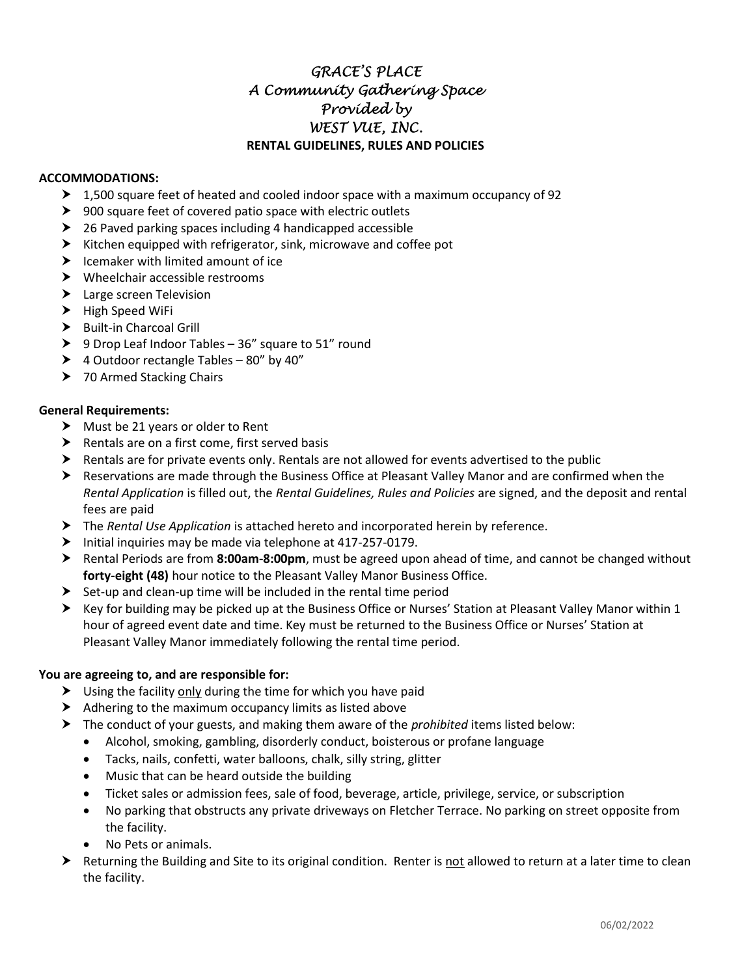# GRACE'S PLACE A Community Gathering Space Provided by WEST VUE, INC. RENTAL GUIDELINES, RULES AND POLICIES

## ACCOMMODATIONS:

- $\blacktriangleright$  1,500 square feet of heated and cooled indoor space with a maximum occupancy of 92
- ▶ 900 square feet of covered patio space with electric outlets
- ▶ 26 Paved parking spaces including 4 handicapped accessible
- $\blacktriangleright$  Kitchen equipped with refrigerator, sink, microwave and coffee pot
- $\blacktriangleright$  Icemaker with limited amount of ice
- Wheelchair accessible restrooms
- > Large screen Television
- $\blacktriangleright$  High Speed WiFi
- > Built-in Charcoal Grill
- ▶ 9 Drop Leaf Indoor Tables 36" square to 51" round
- ▶ 4 Outdoor rectangle Tables 80" by 40"
- > 70 Armed Stacking Chairs

## General Requirements:

- $\triangleright$  Must be 21 years or older to Rent
- $\blacktriangleright$  Rentals are on a first come, first served basis
- $\triangleright$  Rentals are for private events only. Rentals are not allowed for events advertised to the public
- Reservations are made through the Business Office at Pleasant Valley Manor and are confirmed when the Rental Application is filled out, the Rental Guidelines, Rules and Policies are signed, and the deposit and rental fees are paid
- The Rental Use Application is attached hereto and incorporated herein by reference.
- $\blacktriangleright$  Initial inquiries may be made via telephone at 417-257-0179.
- ▶ Rental Periods are from 8:00am-8:00pm, must be agreed upon ahead of time, and cannot be changed without forty-eight (48) hour notice to the Pleasant Valley Manor Business Office.
- $\triangleright$  Set-up and clean-up time will be included in the rental time period
- Key for building may be picked up at the Business Office or Nurses' Station at Pleasant Valley Manor within 1 hour of agreed event date and time. Key must be returned to the Business Office or Nurses' Station at Pleasant Valley Manor immediately following the rental time period.

## You are agreeing to, and are responsible for:

- > Using the facility only during the time for which you have paid
- $\blacktriangleright$  Adhering to the maximum occupancy limits as listed above
- $\triangleright$  The conduct of your guests, and making them aware of the *prohibited* items listed below:
	- Alcohol, smoking, gambling, disorderly conduct, boisterous or profane language
	- Tacks, nails, confetti, water balloons, chalk, silly string, glitter
	- Music that can be heard outside the building
	- Ticket sales or admission fees, sale of food, beverage, article, privilege, service, or subscription
	- No parking that obstructs any private driveways on Fletcher Terrace. No parking on street opposite from the facility.
	- No Pets or animals.
- Returning the Building and Site to its original condition. Renter is not allowed to return at a later time to clean the facility.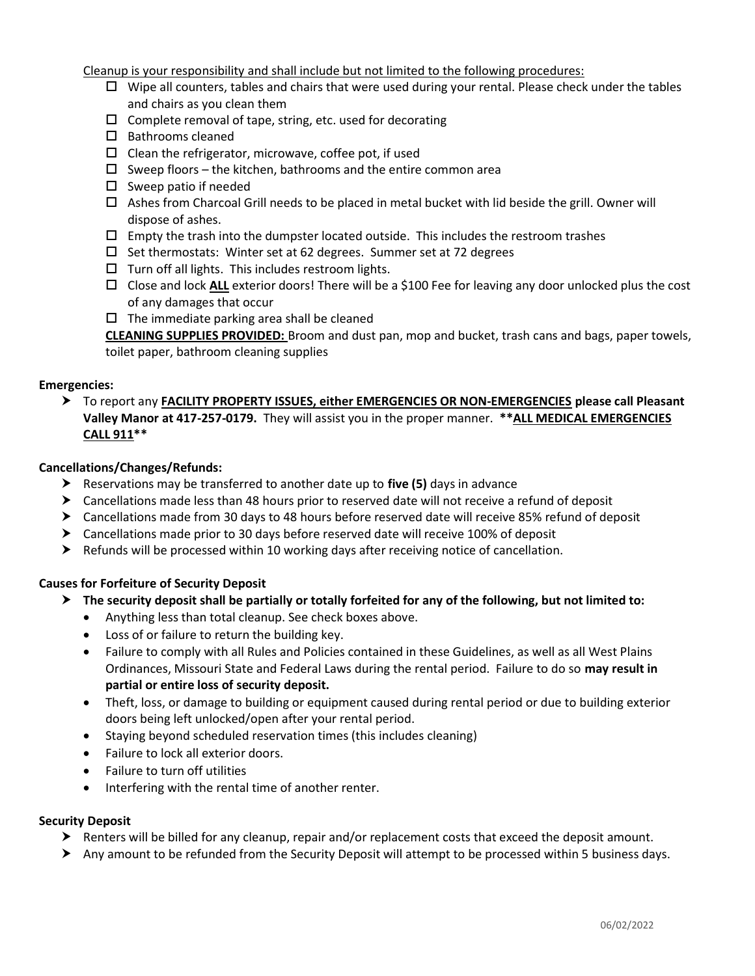Cleanup is your responsibility and shall include but not limited to the following procedures:

- $\Box$  Wipe all counters, tables and chairs that were used during your rental. Please check under the tables and chairs as you clean them
- $\square$  Complete removal of tape, string, etc. used for decorating
- $\square$  Bathrooms cleaned
- $\Box$  Clean the refrigerator, microwave, coffee pot, if used
- $\square$  Sweep floors the kitchen, bathrooms and the entire common area
- $\square$  Sweep patio if needed
- $\Box$  Ashes from Charcoal Grill needs to be placed in metal bucket with lid beside the grill. Owner will dispose of ashes.
- $\Box$  Empty the trash into the dumpster located outside. This includes the restroom trashes
- $\Box$  Set thermostats: Winter set at 62 degrees. Summer set at 72 degrees
- $\Box$  Turn off all lights. This includes restroom lights.
- $\Box$  Close and lock ALL exterior doors! There will be a \$100 Fee for leaving any door unlocked plus the cost of any damages that occur
- $\Box$  The immediate parking area shall be cleaned

CLEANING SUPPLIES PROVIDED: Broom and dust pan, mop and bucket, trash cans and bags, paper towels, toilet paper, bathroom cleaning supplies

## Emergencies:

 To report any FACILITY PROPERTY ISSUES, either EMERGENCIES OR NON-EMERGENCIES please call Pleasant Valley Manor at 417-257-0179. They will assist you in the proper manner. \*\* ALL MEDICAL EMERGENCIES CALL 911\*\*

#### Cancellations/Changes/Refunds:

- Reservations may be transferred to another date up to five  $(5)$  days in advance
- Cancellations made less than 48 hours prior to reserved date will not receive a refund of deposit
- Cancellations made from 30 days to 48 hours before reserved date will receive 85% refund of deposit
- Cancellations made prior to 30 days before reserved date will receive 100% of deposit
- $\blacktriangleright$  Refunds will be processed within 10 working days after receiving notice of cancellation.

## Causes for Forfeiture of Security Deposit

- $\triangleright$  The security deposit shall be partially or totally forfeited for any of the following, but not limited to:
	- Anything less than total cleanup. See check boxes above.
	- Loss of or failure to return the building key.
	- Failure to comply with all Rules and Policies contained in these Guidelines, as well as all West Plains Ordinances, Missouri State and Federal Laws during the rental period. Failure to do so may result in partial or entire loss of security deposit.
	- Theft, loss, or damage to building or equipment caused during rental period or due to building exterior doors being left unlocked/open after your rental period.
	- Staying beyond scheduled reservation times (this includes cleaning)
	- Failure to lock all exterior doors.
	- Failure to turn off utilities
	- Interfering with the rental time of another renter.

## Security Deposit

- Renters will be billed for any cleanup, repair and/or replacement costs that exceed the deposit amount.
- Any amount to be refunded from the Security Deposit will attempt to be processed within 5 business days.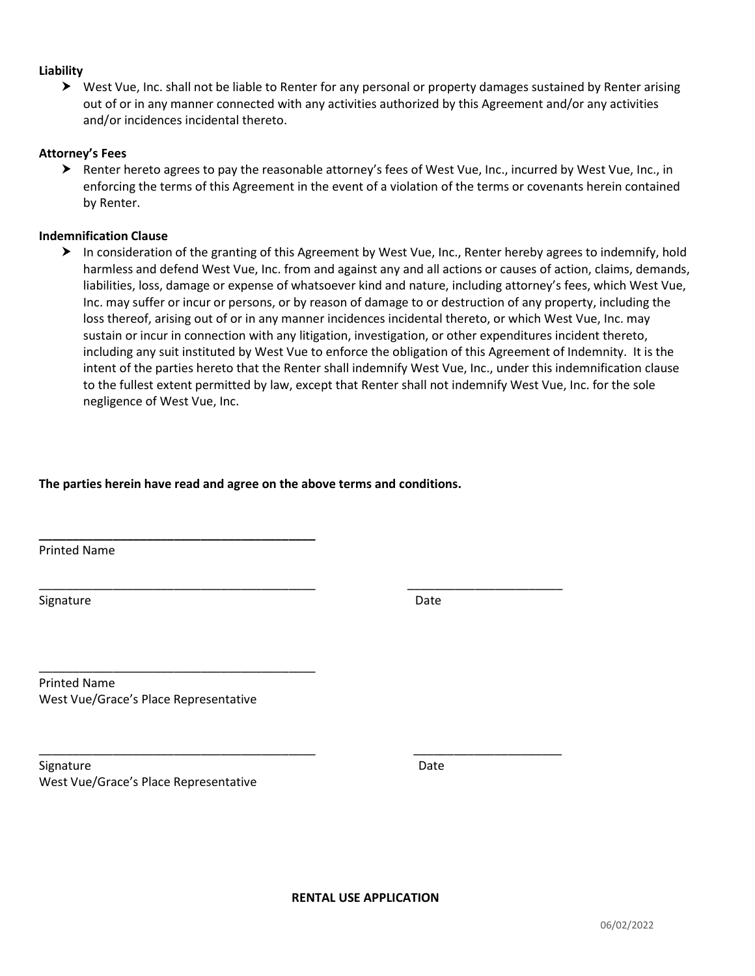#### Liability

 West Vue, Inc. shall not be liable to Renter for any personal or property damages sustained by Renter arising out of or in any manner connected with any activities authorized by this Agreement and/or any activities and/or incidences incidental thereto.

#### Attorney's Fees

 Renter hereto agrees to pay the reasonable attorney's fees of West Vue, Inc., incurred by West Vue, Inc., in enforcing the terms of this Agreement in the event of a violation of the terms or covenants herein contained by Renter.

#### Indemnification Clause

 In consideration of the granting of this Agreement by West Vue, Inc., Renter hereby agrees to indemnify, hold harmless and defend West Vue, Inc. from and against any and all actions or causes of action, claims, demands, liabilities, loss, damage or expense of whatsoever kind and nature, including attorney's fees, which West Vue, Inc. may suffer or incur or persons, or by reason of damage to or destruction of any property, including the loss thereof, arising out of or in any manner incidences incidental thereto, or which West Vue, Inc. may sustain or incur in connection with any litigation, investigation, or other expenditures incident thereto, including any suit instituted by West Vue to enforce the obligation of this Agreement of Indemnity. It is the intent of the parties hereto that the Renter shall indemnify West Vue, Inc., under this indemnification clause to the fullest extent permitted by law, except that Renter shall not indemnify West Vue, Inc. for the sole negligence of West Vue, Inc.

#### The parties herein have read and agree on the above terms and conditions.

\_\_\_\_\_\_\_\_\_\_\_\_\_\_\_\_\_\_\_\_\_\_\_\_\_\_\_\_\_\_\_\_\_\_\_\_\_\_\_\_\_ \_\_\_\_\_\_\_\_\_\_\_\_\_\_\_\_\_\_\_\_\_\_\_

\_\_\_\_\_\_\_\_\_\_\_\_\_\_\_\_\_\_\_\_\_\_\_\_\_\_\_\_\_\_\_\_\_\_\_\_\_\_\_\_\_ \_\_\_\_\_\_\_\_\_\_\_\_\_\_\_\_\_\_\_\_\_\_

Printed Name

Signature Date Date Date of the Date Date of the Date Date Date Date of the Date of the Date of the Date of the Date of the Date of the Date of the Date of the Date of the Date of the Date of the Date of the Date of the Da

Printed Name West Vue/Grace's Place Representative

\_\_\_\_\_\_\_\_\_\_\_\_\_\_\_\_\_\_\_\_\_\_\_\_\_\_\_\_\_\_\_\_\_\_\_\_\_\_\_\_\_

\_\_\_\_\_\_\_\_\_\_\_\_\_\_\_\_\_\_\_\_\_\_\_\_\_\_\_\_\_\_\_\_\_\_\_\_\_\_\_\_\_

Signature Date West Vue/Grace's Place Representative

RENTAL USE APPLICATION